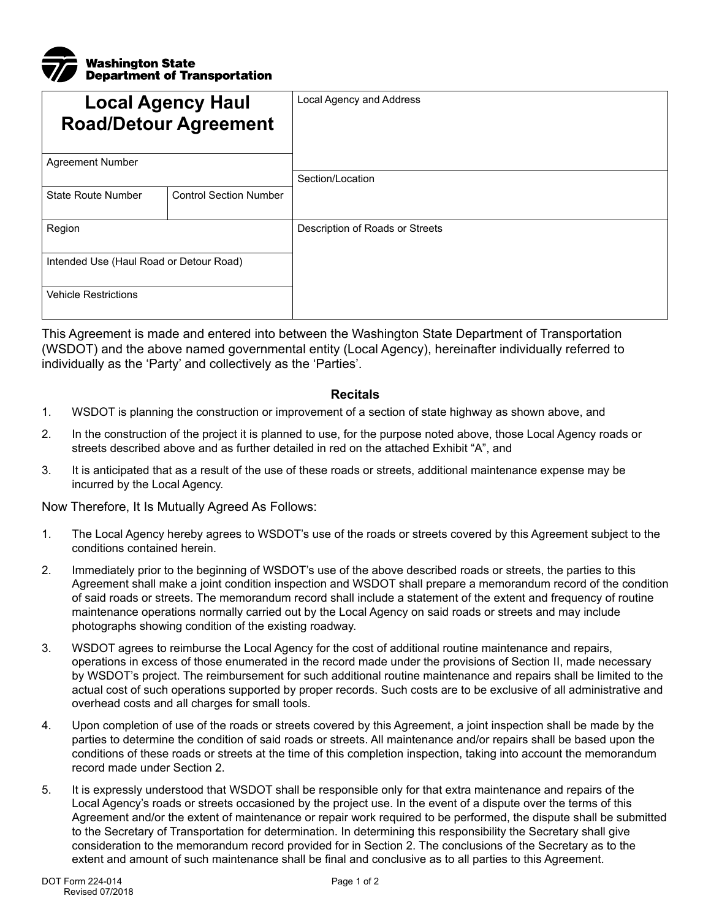

| <b>Local Agency Haul</b><br><b>Road/Detour Agreement</b> |                               | Local Agency and Address        |
|----------------------------------------------------------|-------------------------------|---------------------------------|
| <b>Agreement Number</b>                                  |                               |                                 |
|                                                          |                               | Section/Location                |
| <b>State Route Number</b>                                | <b>Control Section Number</b> |                                 |
| Region                                                   |                               | Description of Roads or Streets |
| Intended Use (Haul Road or Detour Road)                  |                               |                                 |
| <b>Vehicle Restrictions</b>                              |                               |                                 |

This Agreement is made and entered into between the Washington State Department of Transportation (WSDOT) and the above named governmental entity (Local Agency), hereinafter individually referred to individually as the 'Party' and collectively as the 'Parties'.

## **Recitals**

- 1. WSDOT is planning the construction or improvement of a section of state highway as shown above, and
- 2. In the construction of the project it is planned to use, for the purpose noted above, those Local Agency roads or streets described above and as further detailed in red on the attached Exhibit "A", and
- 3. It is anticipated that as a result of the use of these roads or streets, additional maintenance expense may be incurred by the Local Agency.

Now Therefore, It Is Mutually Agreed As Follows:

- 1. The Local Agency hereby agrees to WSDOT's use of the roads or streets covered by this Agreement subject to the conditions contained herein.
- 2. Immediately prior to the beginning of WSDOT's use of the above described roads or streets, the parties to this Agreement shall make a joint condition inspection and WSDOT shall prepare a memorandum record of the condition of said roads or streets. The memorandum record shall include a statement of the extent and frequency of routine maintenance operations normally carried out by the Local Agency on said roads or streets and may include photographs showing condition of the existing roadway.
- 3. WSDOT agrees to reimburse the Local Agency for the cost of additional routine maintenance and repairs, operations in excess of those enumerated in the record made under the provisions of Section II, made necessary by WSDOT's project. The reimbursement for such additional routine maintenance and repairs shall be limited to the actual cost of such operations supported by proper records. Such costs are to be exclusive of all administrative and overhead costs and all charges for small tools.
- 4. Upon completion of use of the roads or streets covered by this Agreement, a joint inspection shall be made by the parties to determine the condition of said roads or streets. All maintenance and/or repairs shall be based upon the conditions of these roads or streets at the time of this completion inspection, taking into account the memorandum record made under Section 2.
- 5. It is expressly understood that WSDOT shall be responsible only for that extra maintenance and repairs of the Local Agency's roads or streets occasioned by the project use. In the event of a dispute over the terms of this Agreement and/or the extent of maintenance or repair work required to be performed, the dispute shall be submitted to the Secretary of Transportation for determination. In determining this responsibility the Secretary shall give consideration to the memorandum record provided for in Section 2. The conclusions of the Secretary as to the extent and amount of such maintenance shall be final and conclusive as to all parties to this Agreement.